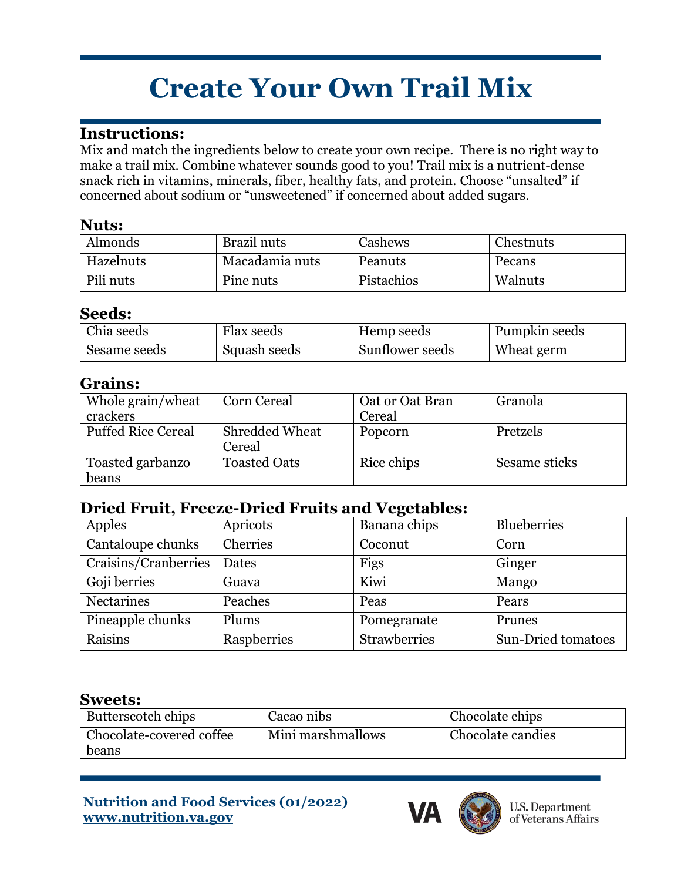# **Create Your Own Trail Mix**

## **Instructions:**

Mix and match the ingredients below to create your own recipe. There is no right way to make a trail mix. Combine whatever sounds good to you! Trail mix is a nutrient-dense snack rich in vitamins, minerals, fiber, healthy fats, and protein. Choose "unsalted" if concerned about sodium or "unsweetened" if concerned about added sugars.

### **Nuts:**

| Almonds   | Brazil nuts    | Cashews    | Chestnuts |
|-----------|----------------|------------|-----------|
| Hazelnuts | Macadamia nuts | Peanuts    | Pecans    |
| Pili nuts | Pine nuts      | Pistachios | Walnuts   |

#### **Seeds:**

| Chia seeds   | Flax seeds   | Hemp seeds      | Pumpkin seeds |
|--------------|--------------|-----------------|---------------|
| Sesame seeds | Squash seeds | Sunflower seeds | Wheat germ    |

## **Grains:**

| Whole grain/wheat<br>crackers | Corn Cereal              | Oat or Oat Bran<br>Cereal | Granola       |
|-------------------------------|--------------------------|---------------------------|---------------|
| <b>Puffed Rice Cereal</b>     | Shredded Wheat<br>Cereal | Popcorn                   | Pretzels      |
| Toasted garbanzo<br>beans     | <b>Toasted Oats</b>      | Rice chips                | Sesame sticks |

# **Dried Fruit, Freeze-Dried Fruits and Vegetables:**

| Apples               | Apricots    | Banana chips        | Blueberries               |
|----------------------|-------------|---------------------|---------------------------|
| Cantaloupe chunks    | Cherries    | Coconut             | Corn                      |
| Craisins/Cranberries | Dates       | Figs                | Ginger                    |
| Goji berries         | Guava       | Kiwi                | Mango                     |
| <b>Nectarines</b>    | Peaches     | Peas                | Pears                     |
| Pineapple chunks     | Plums       | Pomegranate         | Prunes                    |
| Raisins              | Raspberries | <b>Strawberries</b> | <b>Sun-Dried tomatoes</b> |

#### **Sweets:**

| Butterscotch chips                | Cacao nibs        | Chocolate chips   |
|-----------------------------------|-------------------|-------------------|
| Chocolate-covered coffee<br>beans | Mini marshmallows | Chocolate candies |

#### **Nutrition and Food Services (01/2022) www.nutrition.va.gov**